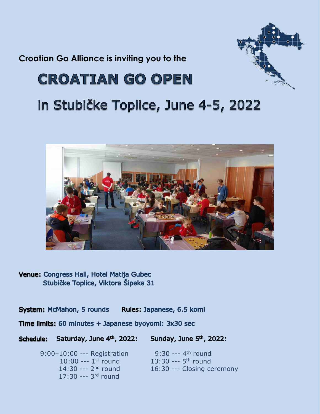**Croatian Go Alliance is inviting you to the**



## **CROATIAN GO OPEN**

## in Stubičke Toplice, June 4-5, 2022



Venue: Congress Hall, Hotel Matija Gubec Stubičke Toplice, Viktora Šipeka 31

**System: McMahon, 5 rounds** Rules: Japanese, 6.5 komi

Time limits: 60 minutes + Japanese byoyomi: 3x30 sec

Sunday, June 5<sup>th</sup>, 2022: Schedule: Saturday, June 4th, 2022:

> 9:00–10:00 --- Registration  $10:00$  ---  $1<sup>st</sup>$  round 14:30 --- 2<sup>nd</sup> round 17:30 --- 3<sup>rd</sup> round

9:30 ---  $4^{th}$  round  $\frac{\text{st}}{\text{round}}$  13:30 --- 5<sup>th</sup> round 16:30 --- Closing ceremony